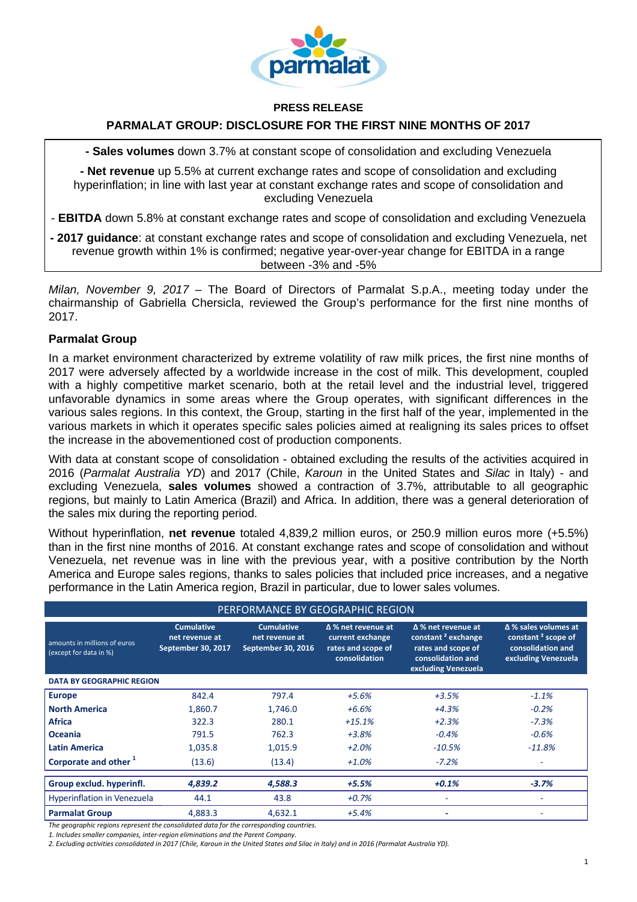

#### **PRESS RELEASE**

## **PARMALAT GROUP: DISCLOSURE FOR THE FIRST NINE MONTHS OF 2017**

**- Sales volumes** down 3.7% at constant scope of consolidation and excluding Venezuela

**- Net revenue** up 5.5% at current exchange rates and scope of consolidation and excluding hyperinflation; in line with last year at constant exchange rates and scope of consolidation and excluding Venezuela

- **EBITDA** down 5.8% at constant exchange rates and scope of consolidation and excluding Venezuela

*-* **2017 guidance**: at constant exchange rates and scope of consolidation and excluding Venezuela, net revenue growth within 1% is confirmed; negative year-over-year change for EBITDA in a range between -3% and -5%

*Milan, November 9, 2017* – The Board of Directors of Parmalat S.p.A., meeting today under the chairmanship of Gabriella Chersicla, reviewed the Group's performance for the first nine months of 2017.

### **Parmalat Group**

In a market environment characterized by extreme volatility of raw milk prices, the first nine months of 2017 were adversely affected by a worldwide increase in the cost of milk. This development, coupled with a highly competitive market scenario, both at the retail level and the industrial level, triggered unfavorable dynamics in some areas where the Group operates, with significant differences in the various sales regions. In this context, the Group, starting in the first half of the year, implemented in the various markets in which it operates specific sales policies aimed at realigning its sales prices to offset the increase in the abovementioned cost of production components.

With data at constant scope of consolidation - obtained excluding the results of the activities acquired in 2016 (*Parmalat Australia YD*) and 2017 (Chile, *Karoun* in the United States and *Silac* in Italy) - and excluding Venezuela, **sales volumes** showed a contraction of 3.7%, attributable to all geographic regions, but mainly to Latin America (Brazil) and Africa. In addition, there was a general deterioration of the sales mix during the reporting period.

Without hyperinflation, **net revenue** totaled 4,839,2 million euros, or 250.9 million euros more (+5.5%) than in the first nine months of 2016. At constant exchange rates and scope of consolidation and without Venezuela, net revenue was in line with the previous year, with a positive contribution by the North America and Europe sales regions, thanks to sales policies that included price increases, and a negative performance in the Latin America region, Brazil in particular, due to lower sales volumes.

| PERFORMANCE BY GEOGRAPHIC REGION                       |                                                           |                                                                  |                                                                                      |                                                                                                                               |                                                                                                           |
|--------------------------------------------------------|-----------------------------------------------------------|------------------------------------------------------------------|--------------------------------------------------------------------------------------|-------------------------------------------------------------------------------------------------------------------------------|-----------------------------------------------------------------------------------------------------------|
| amounts in millions of euros<br>(except for data in %) | <b>Cumulative</b><br>net revenue at<br>September 30, 2017 | <b>Cumulative</b><br>net revenue at<br><b>September 30, 2016</b> | $\Delta$ % net revenue at<br>current exchange<br>rates and scope of<br>consolidation | $\Delta$ % net revenue at<br>constant <sup>2</sup> exchange<br>rates and scope of<br>consolidation and<br>excluding Venezuela | $\Delta$ % sales volumes at<br>constant <sup>2</sup> scope of<br>consolidation and<br>excluding Venezuela |
| <b>DATA BY GEOGRAPHIC REGION</b>                       |                                                           |                                                                  |                                                                                      |                                                                                                                               |                                                                                                           |
| <b>Europe</b>                                          | 842.4                                                     | 797.4                                                            | $+5.6%$                                                                              | $+3.5%$                                                                                                                       | $-1.1%$                                                                                                   |
| <b>North America</b>                                   | 1,860.7                                                   | 1,746.0                                                          | $+6.6%$                                                                              | $+4.3%$                                                                                                                       | $-0.2%$                                                                                                   |
| <b>Africa</b>                                          | 322.3                                                     | 280.1                                                            | $+15.1%$                                                                             | $+2.3%$                                                                                                                       | $-7.3%$                                                                                                   |
| <b>Oceania</b>                                         | 791.5                                                     | 762.3                                                            | $+3.8%$                                                                              | $-0.4%$                                                                                                                       | $-0.6%$                                                                                                   |
| <b>Latin America</b>                                   | 1,035.8                                                   | 1,015.9                                                          | $+2.0%$                                                                              | $-10.5%$                                                                                                                      | $-11.8%$                                                                                                  |
| Corporate and other <sup>1</sup>                       | (13.6)                                                    | (13.4)                                                           | $+1.0%$                                                                              | $-7.2%$                                                                                                                       | ٠                                                                                                         |
| Group exclud. hyperinfl.                               | 4,839.2                                                   | 4,588.3                                                          | $+5.5%$                                                                              | $+0.1%$                                                                                                                       | $-3.7%$                                                                                                   |
| <b>Hyperinflation in Venezuela</b>                     | 44.1                                                      | 43.8                                                             | $+0.7%$                                                                              |                                                                                                                               |                                                                                                           |
| <b>Parmalat Group</b>                                  | 4,883.3                                                   | 4,632.1                                                          | $+5.4%$                                                                              | -                                                                                                                             |                                                                                                           |

*The geographic regions represent the consolidated data for the corresponding countries.*

*1. Includes smaller companies, inter‐region eliminations and the Parent Company.*

2. Excluding activities consolidated in 2017 (Chile, Karoun in the United States and Silac in Italy) and in 2016 (Parmalat Australia YD).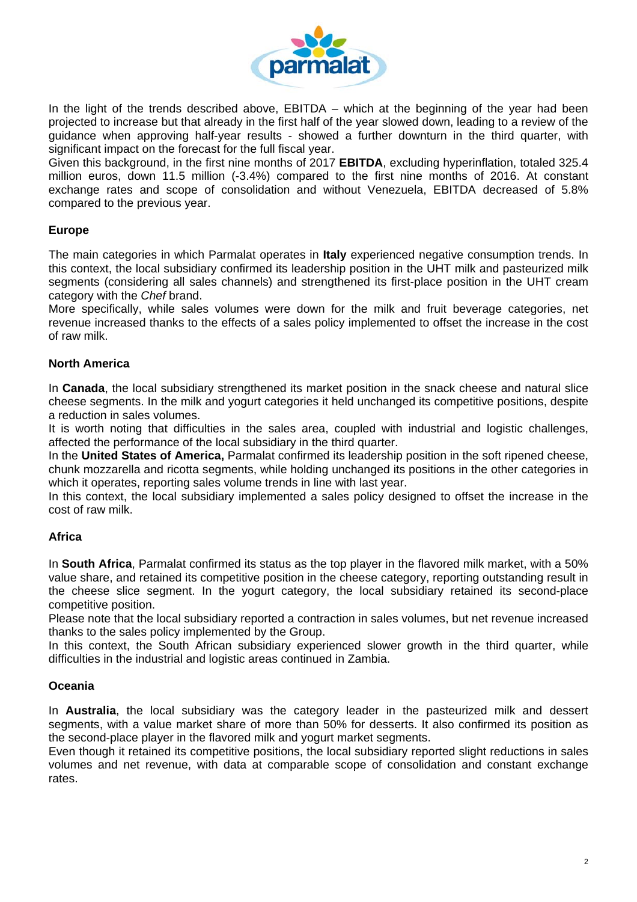

In the light of the trends described above, EBITDA – which at the beginning of the year had been projected to increase but that already in the first half of the year slowed down, leading to a review of the guidance when approving half-year results - showed a further downturn in the third quarter, with significant impact on the forecast for the full fiscal year.

Given this background, in the first nine months of 2017 **EBITDA**, excluding hyperinflation, totaled 325.4 million euros, down 11.5 million (-3.4%) compared to the first nine months of 2016. At constant exchange rates and scope of consolidation and without Venezuela, EBITDA decreased of 5.8% compared to the previous year.

# **Europe**

The main categories in which Parmalat operates in **Italy** experienced negative consumption trends. In this context, the local subsidiary confirmed its leadership position in the UHT milk and pasteurized milk segments (considering all sales channels) and strengthened its first-place position in the UHT cream category with the *Chef* brand.

More specifically, while sales volumes were down for the milk and fruit beverage categories, net revenue increased thanks to the effects of a sales policy implemented to offset the increase in the cost of raw milk.

## **North America**

In **Canada**, the local subsidiary strengthened its market position in the snack cheese and natural slice cheese segments. In the milk and yogurt categories it held unchanged its competitive positions, despite a reduction in sales volumes.

It is worth noting that difficulties in the sales area, coupled with industrial and logistic challenges, affected the performance of the local subsidiary in the third quarter.

In the **United States of America,** Parmalat confirmed its leadership position in the soft ripened cheese, chunk mozzarella and ricotta segments, while holding unchanged its positions in the other categories in which it operates, reporting sales volume trends in line with last year.

In this context, the local subsidiary implemented a sales policy designed to offset the increase in the cost of raw milk.

## **Africa**

In **South Africa**, Parmalat confirmed its status as the top player in the flavored milk market, with a 50% value share, and retained its competitive position in the cheese category, reporting outstanding result in the cheese slice segment. In the yogurt category, the local subsidiary retained its second-place competitive position.

Please note that the local subsidiary reported a contraction in sales volumes, but net revenue increased thanks to the sales policy implemented by the Group.

In this context, the South African subsidiary experienced slower growth in the third quarter, while difficulties in the industrial and logistic areas continued in Zambia.

## **Oceania**

In **Australia**, the local subsidiary was the category leader in the pasteurized milk and dessert segments, with a value market share of more than 50% for desserts. It also confirmed its position as the second-place player in the flavored milk and yogurt market segments.

Even though it retained its competitive positions, the local subsidiary reported slight reductions in sales volumes and net revenue, with data at comparable scope of consolidation and constant exchange rates.